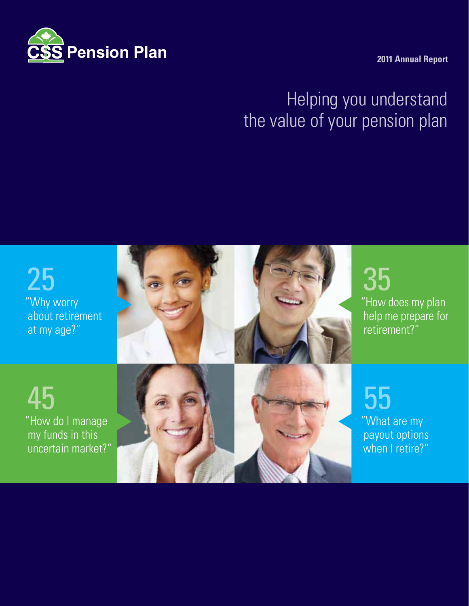

**2011 Annual Report**

# Helping you understand the value of your pension plan

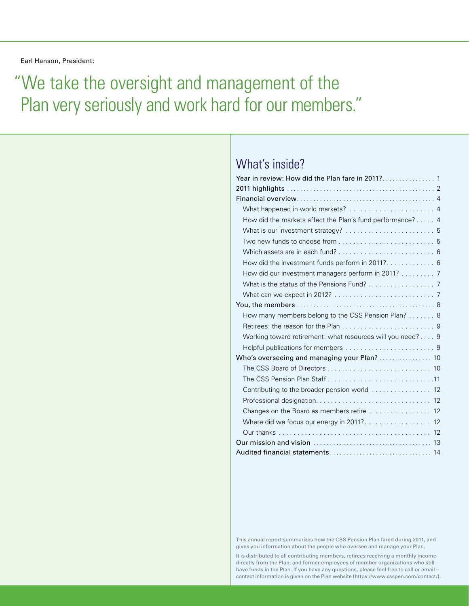Earl Hanson, President:

# "We take the oversight and management of the Plan very seriously and work hard for our members."

### What's inside?

| What happened in world markets?  4                         |
|------------------------------------------------------------|
| How did the markets affect the Plan's fund performance? 4  |
| What is our investment strategy?  5                        |
|                                                            |
|                                                            |
| How did the investment funds perform in 2011? 6            |
| How did our investment managers perform in 2011? 7         |
| What is the status of the Pensions Fund? 7                 |
|                                                            |
|                                                            |
| How many members belong to the CSS Pension Plan? 8         |
|                                                            |
| Working toward retirement: what resources will you need? 9 |
|                                                            |
| Who's overseeing and managing your Plan?  10               |
|                                                            |
| The CSS Pension Plan Staff11                               |
|                                                            |
|                                                            |
| Changes on the Board as members retire 12                  |
|                                                            |
|                                                            |
|                                                            |
|                                                            |

This annual report summarizes how the CSS Pension Plan fared during 2011, and gives you information about the people who oversee and manage your Plan.

It is distributed to all contributing members, retirees receiving a monthly income directly from the Plan, and former employees of member organizations who still have funds in the Plan. If you have any questions, please feel free to call or email – contact information is given on the Plan website (https://www.csspen.com/contact/).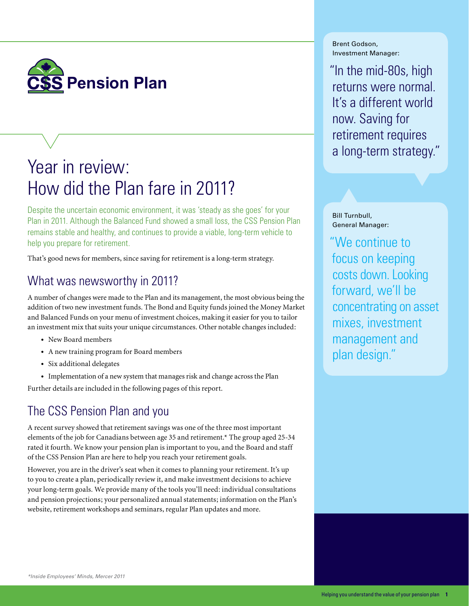

# Year in review: How did the Plan fare in 2011?

Despite the uncertain economic environment, it was 'steady as she goes' for your Plan in 2011. Although the Balanced Fund showed a small loss, the CSS Pension Plan remains stable and healthy, and continues to provide a viable, long-term vehicle to help you prepare for retirement.

That's good news for members, since saving for retirement is a long-term strategy.

## What was newsworthy in 2011?

A number of changes were made to the Plan and its management, the most obvious being the addition of two new investment funds. The Bond and Equity funds joined the Money Market and Balanced Funds on your menu of investment choices, making it easier for you to tailor an investment mix that suits your unique circumstances. Other notable changes included:

- • New Board members
- • A new training program for Board members
- Six additional delegates
- Implementation of a new system that manages risk and change across the Plan

Further details are included in the following pages of this report.

# The CSS Pension Plan and you

A recent survey showed that retirement savings was one of the three most important elements of the job for Canadians between age 35 and retirement.\* The group aged 25-34 rated it fourth. We know your pension plan is important to you, and the Board and staff of the CSS Pension Plan are here to help you reach your retirement goals.

However, you are in the driver's seat when it comes to planning your retirement. It's up to you to create a plan, periodically review it, and make investment decisions to achieve your long-term goals. We provide many of the tools you'll need: individual consultations and pension projections; your personalized annual statements; information on the Plan's website, retirement workshops and seminars, regular Plan updates and more.

Brent Godson, Investment Manager:

"In the mid-80s, high returns were normal. It's a different world now. Saving for retirement requires a long-term strategy."

Bill Turnbull, General Manager:

"We continue to focus on keeping costs down. Looking forward, we'll be concentrating on asset mixes, investment management and plan design."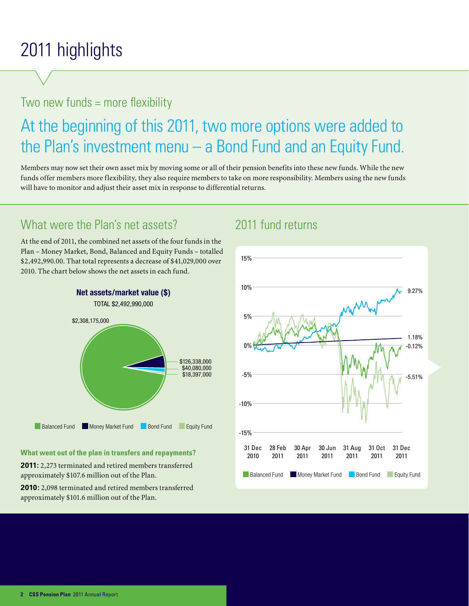# 2011 highlights

# Two new funds = more flexibility

# At the beginning of this 2011, two more options were added to the Plan's investment menu – a Bond Fund and an Equity Fund.

Members may now set their own asset mix by moving some or all of their pension benefits into these new funds. While the new funds offer members more flexibility, they also require members to take on more responsibility. Members using the new funds will have to monitor and adjust their asset mix in response to differential returns.

# What were the Plan's net assets?

At the end of 2011, the combined net assets of the four funds in the Plan – Money Market, Bond, Balanced and Equity Funds – totalled \$2,492,990.00. That total represents a decrease of \$41,029,000 over 2010. The chart below shows the net assets in each fund.



### **What went out of the plan in transfers and repayments?**

**2011:** 2,273 terminated and retired members transferred approximately \$107.6 million out of the Plan.

**2010:** 2,098 terminated and retired members transferred approximately \$101.6 million out of the Plan.

### 2011 fund returns

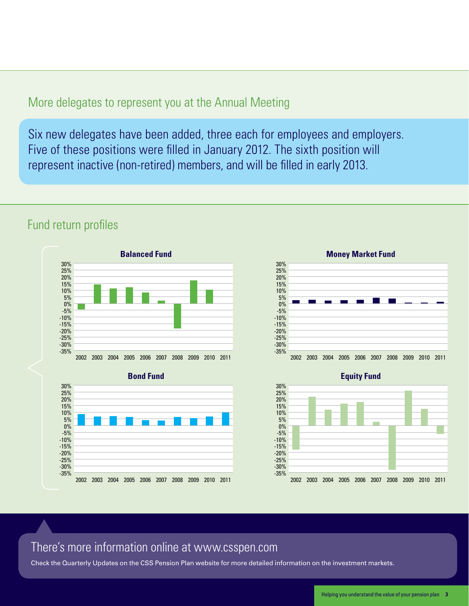### More delegates to represent you at the Annual Meeting

Six new delegates have been added, three each for employees and employers. Five of these positions were filled in January 2012. The sixth position will represent inactive (non-retired) members, and will be filled in early 2013.

### Fund return profiles







**Equity Fund**



### There's more information online at www.csspen.com

Check the Quarterly Updates on the CSS Pension Plan website for more detailed information on the investment markets.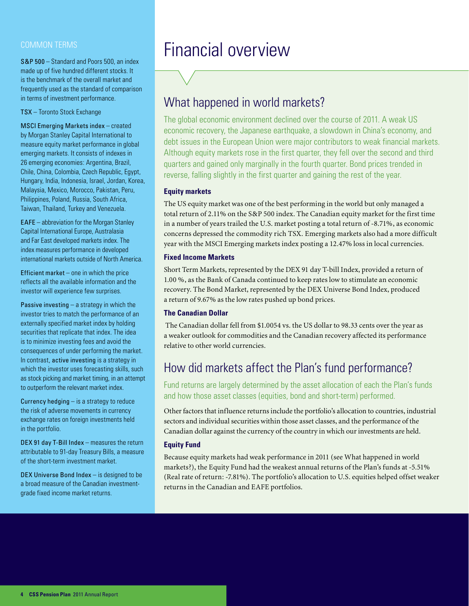### Common terms

S&P 500 – Standard and Poors 500, an index made up of five hundred different stocks. It is the benchmark of the overall market and frequently used as the standard of comparison in terms of investment performance.

TSX – Toronto Stock Exchange

MSCI Emerging Markets index – created by Morgan Stanley Capital International to measure equity market performance in global emerging markets. It consists of indexes in 26 emerging economies: Argentina, Brazil, Chile, China, Colombia, Czech Republic, Egypt, Hungary, India, Indonesia, Israel, Jordan, Korea, Malaysia, Mexico, Morocco, Pakistan, Peru, Philippines, Poland, Russia, South Africa, Taiwan, Thailand, Turkey and Venezuela.

EAFE – abbreviation for the Morgan Stanley Capital International Europe, Australasia and Far East developed markets index. The index measures performance in developed international markets outside of North America.

Efficient market – one in which the price reflects all the available information and the investor will experience few surprises.

**Passive investing – a strategy in which the** investor tries to match the performance of an externally specified market index by holding securities that replicate that index. The idea is to minimize investing fees and avoid the consequences of under performing the market. In contrast, active investing is a strategy in which the investor uses forecasting skills, such as stock picking and market timing, in an attempt to outperform the relevant market index.

**Currency hedging**  $-$  is a strategy to reduce the risk of adverse movements in currency exchange rates on foreign investments held in the portfolio.

DEX 91 day T-Bill Index – measures the return attributable to 91-day Treasury Bills, a measure of the short-term investment market.

DEX Universe Bond Index – is designed to be a broad measure of the Canadian investmentgrade fixed income market returns.

# Financial overview

### What happened in world markets?

The global economic environment declined over the course of 2011. A weak US economic recovery, the Japanese earthquake, a slowdown in China's economy, and debt issues in the European Union were major contributors to weak financial markets. Although equity markets rose in the first quarter, they fell over the second and third quarters and gained only marginally in the fourth quarter. Bond prices trended in reverse, falling slightly in the first quarter and gaining the rest of the year.

### **Equity markets**

The US equity market was one of the best performing in the world but only managed a total return of 2.11% on the S&P 500 index. The Canadian equity market for the first time in a number of years trailed the U.S. market posting a total return of -8.71%, as economic concerns depressed the commodity rich TSX. Emerging markets also had a more difficult year with the MSCI Emerging markets index posting a 12.47% loss in local currencies.

#### **Fixed Income Markets**

Short Term Markets, represented by the DEX 91 day T-bill Index, provided a return of 1.00 %, as the Bank of Canada continued to keep rates low to stimulate an economic recovery. The Bond Market, represented by the DEX Universe Bond Index, produced a return of 9.67% as the low rates pushed up bond prices.

### **The Canadian Dollar**

 The Canadian dollar fell from \$1.0054 vs. the US dollar to 98.33 cents over the year as a weaker outlook for commodities and the Canadian recovery affected its performance relative to other world currencies.

## How did markets affect the Plan's fund performance?

Fund returns are largely determined by the asset allocation of each the Plan's funds and how those asset classes (equities, bond and short-term) performed.

Other factors that influence returns include the portfolio's allocation to countries, industrial sectors and individual securities within those asset classes, and the performance of the Canadian dollar against the currency of the country in which our investments are held.

### **Equity Fund**

Because equity markets had weak performance in 2011 (see What happened in world markets?), the Equity Fund had the weakest annual returns of the Plan's funds at -5.51% (Real rate of return: -7.81%). The portfolio's allocation to U.S. equities helped offset weaker returns in the Canadian and EAFE portfolios.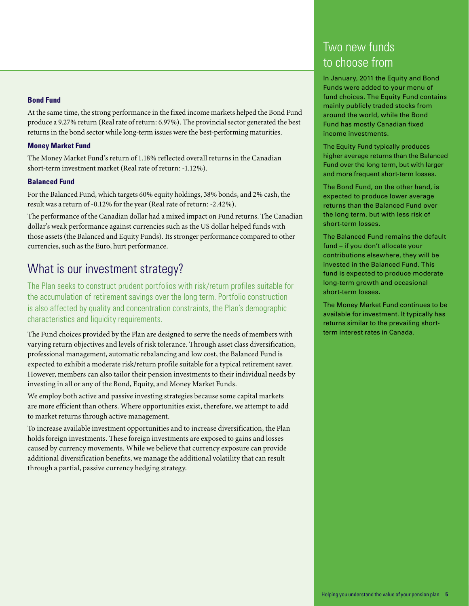### **Bond Fund**

At the same time, the strong performance in the fixed income markets helped the Bond Fund produce a 9.27% return (Real rate of return: 6.97%). The provincial sector generated the best returns in the bond sector while long-term issues were the best-performing maturities.

### **Money Market Fund**

The Money Market Fund's return of 1.18% reflected overall returns in the Canadian short-term investment market (Real rate of return: -1.12%).

### **Balanced Fund**

For the Balanced Fund, which targets 60% equity holdings, 38% bonds, and 2% cash, the result was a return of -0.12% for the year (Real rate of return: -2.42%).

The performance of the Canadian dollar had a mixed impact on Fund returns. The Canadian dollar's weak performance against currencies such as the US dollar helped funds with those assets (the Balanced and Equity Funds). Its stronger performance compared to other currencies, such as the Euro, hurt performance.

### What is our investment strategy?

The Plan seeks to construct prudent portfolios with risk/return profiles suitable for the accumulation of retirement savings over the long term. Portfolio construction is also affected by quality and concentration constraints, the Plan's demographic characteristics and liquidity requirements.

The Fund choices provided by the Plan are designed to serve the needs of members with varying return objectives and levels of risk tolerance. Through asset class diversification, professional management, automatic rebalancing and low cost, the Balanced Fund is expected to exhibit a moderate risk/return profile suitable for a typical retirement saver. However, members can also tailor their pension investments to their individual needs by investing in all or any of the Bond, Equity, and Money Market Funds.

We employ both active and passive investing strategies because some capital markets are more efficient than others. Where opportunities exist, therefore, we attempt to add to market returns through active management.

To increase available investment opportunities and to increase diversification, the Plan holds foreign investments. These foreign investments are exposed to gains and losses caused by currency movements. While we believe that currency exposure can provide additional diversification benefits, we manage the additional volatility that can result through a partial, passive currency hedging strategy.

# Two new funds to choose from

In January, 2011 the Equity and Bond Funds were added to your menu of fund choices. The Equity Fund contains mainly publicly traded stocks from around the world, while the Bond Fund has mostly Canadian fixed income investments.

The Equity Fund typically produces higher average returns than the Balanced Fund over the long term, but with larger and more frequent short-term losses.

The Bond Fund, on the other hand, is expected to produce lower average returns than the Balanced Fund over the long term, but with less risk of short-term losses.

The Balanced Fund remains the default fund – if you don't allocate your contributions elsewhere, they will be invested in the Balanced Fund. This fund is expected to produce moderate long-term growth and occasional short-term losses.

The Money Market Fund continues to be available for investment. It typically has returns similar to the prevailing shortterm interest rates in Canada.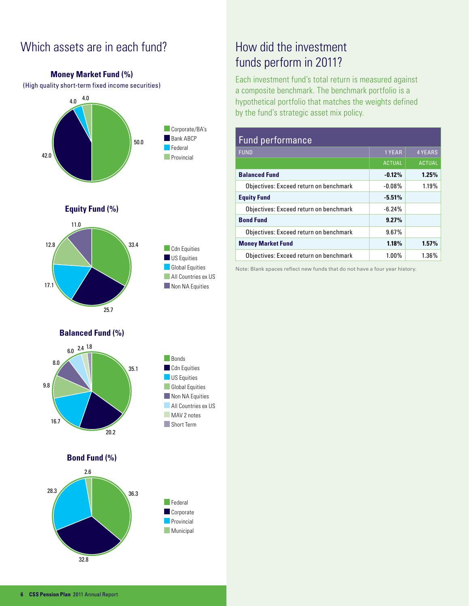## Which assets are in each fund?

**Money Market Fund (%)**

(High quality short-term fixed income securities) 4.0 4.0 42.0 50.0 Corporate/BA's Bank ABCP **Federal Provincial Cdn** Equities US Equities **Global Equities** All Countries ex US 17.1 Non NA Equities 12.8 25.7 33.4 11.0 **Equity Fund (%) Balanced Fund (%)** 9.8 16.7 20.2 35.1  $6.0 \frac{2.4}{}$  1.8 8.0 Bonds **Cdn** Equities **US** Equities **Global Equities** Non NA Equities **All Countries ex US** MAV 2 notes Short Term **Federal Corporate Provincial Municipal** 28.3 36.3 2.6 **Bond Fund (%)**

# How did the investment funds perform in 2011?

Each investment fund's total return is measured against a composite benchmark. The benchmark portfolio is a hypothetical portfolio that matches the weights defined by the fund's strategic asset mix policy.

| <b>Fund performance</b>                |               |                |  |  |  |
|----------------------------------------|---------------|----------------|--|--|--|
| <b>FUND</b>                            | 1 YEAR        | <b>4 YEARS</b> |  |  |  |
|                                        | <b>ACTUAL</b> | <b>ACTUAL</b>  |  |  |  |
| <b>Balanced Fund</b>                   | $-0.12%$      | 1.25%          |  |  |  |
| Objectives: Exceed return on benchmark | $-0.08\%$     | 1.19%          |  |  |  |
| <b>Equity Fund</b>                     | $-5.51%$      |                |  |  |  |
| Objectives: Exceed return on benchmark | $-6.24%$      |                |  |  |  |
| <b>Bond Fund</b>                       | 9.27%         |                |  |  |  |
| Objectives: Exceed return on benchmark | 9.67%         |                |  |  |  |
| <b>Money Market Fund</b>               | 1.18%         | 1.57%          |  |  |  |
| Objectives: Exceed return on benchmark | $1.00\%$      | 1.36%          |  |  |  |

Note: Blank spaces reflect new funds that do not have a four year history.

32.8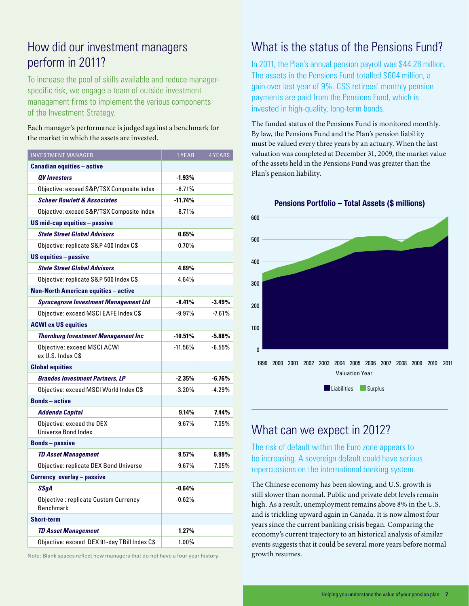## How did our investment managers perform in 2011?

To increase the pool of skills available and reduce managerspecific risk, we engage a team of outside investment management firms to implement the various components of the Investment Strategy.

### Each manager's performance is judged against a benchmark for the market in which the assets are invested.

| <b>INVESTMENT MANAGER</b>                                | 1 YEAR    | <b>4 YEARS</b> |
|----------------------------------------------------------|-----------|----------------|
| <b>Canadian equities - active</b>                        |           |                |
| <b>QV</b> Investors                                      | $-1.93%$  |                |
| Objective: exceed S&P/TSX Composite Index                | $-8.71%$  |                |
| <b>Scheer Rowlett &amp; Associates</b>                   | $-11.74%$ |                |
| Objective: exceed S&P/TSX Composite Index                | $-8.71%$  |                |
| US mid-cap equities - passive                            |           |                |
| <b>State Street Global Advisors</b>                      | 0.65%     |                |
| Objective: replicate S&P 400 Index C\$                   | $0.70\%$  |                |
| <b>US equities - passive</b>                             |           |                |
| <b>State Street Global Advisors</b>                      | 4.69%     |                |
| Objective: replicate S&P 500 Index C\$                   | 4.64%     |                |
| <b>Non-North American equities - active</b>              |           |                |
| <b>Sprucegrove Investment Management Ltd</b>             | $-8.41%$  | $-3.49%$       |
| Objective: exceed MSCI EAFE Index C\$                    | $-9.97%$  | $-7.61%$       |
| <b>ACWI ex US equities</b>                               |           |                |
| <b>Thornburg Investment Management Inc</b>               | $-10.51%$ | -5.88%         |
| Objective: exceed MSCI ACWI<br>ex U.S. Index C\$         | $-11.56%$ | $-6.55%$       |
| <b>Global equities</b>                                   |           |                |
| <b>Brandes Investment Partners, LP</b>                   | $-2.35%$  | $-6.76%$       |
| Objective: exceed MSCI World Index C\$                   | $-3.20%$  | $-4.29%$       |
| <b>Bonds</b> – active                                    |           |                |
| <b>Addenda Capital</b>                                   | 9.14%     | 7.44%          |
| Objective: exceed the DEX<br><b>Universe Bond Index</b>  | 9.67%     | 7.05%          |
| <b>Bonds-passive</b>                                     |           |                |
| <b>TD Asset Management</b>                               | 9.57%     | 6.99%          |
| Objective: replicate DEX Bond Universe                   | 9.67%     | 7.05%          |
| <b>Currency overlay - passive</b>                        |           |                |
| <b>SSqA</b>                                              | $-0.64%$  |                |
| Objective: replicate Custom Currency<br><b>Benchmark</b> | $-0.62%$  |                |
| <b>Short-term</b>                                        |           |                |
| <b>TD Asset Management</b>                               | 1.27%     |                |
| Objective: exceed DEX 91-day TBill Index C\$             | 1.00%     |                |

Note: Blank spaces reflect new managers that do not have a four year history. **growth resumes.** 

## What is the status of the Pensions Fund?

In 2011, the Plan's annual pension payroll was \$44.28 million. The assets in the Pensions Fund totalled \$604 million, a gain over last year of 9%. CSS retirees' monthly pension payments are paid from the Pensions Fund, which is invested in high-quality, long-term bonds.

The funded status of the Pensions Fund is monitored monthly. By law, the Pensions Fund and the Plan's pension liability must be valued every three years by an actuary. When the last valuation was completed at December 31, 2009, the market value of the assets held in the Pensions Fund was greater than the Plan's pension liability.

**Pensions Portfolio – Total Assets (\$ millions)**



### What can we expect in 2012?

The risk of default within the Euro zone appears to be increasing. A sovereign default could have serious repercussions on the international banking system.

The Chinese economy has been slowing, and U.S. growth is still slower than normal. Public and private debt levels remain high. As a result, unemployment remains above 8% in the U.S. and is trickling upward again in Canada. It is now almost four years since the current banking crisis began. Comparing the economy's current trajectory to an historical analysis of similar events suggests that it could be several more years before normal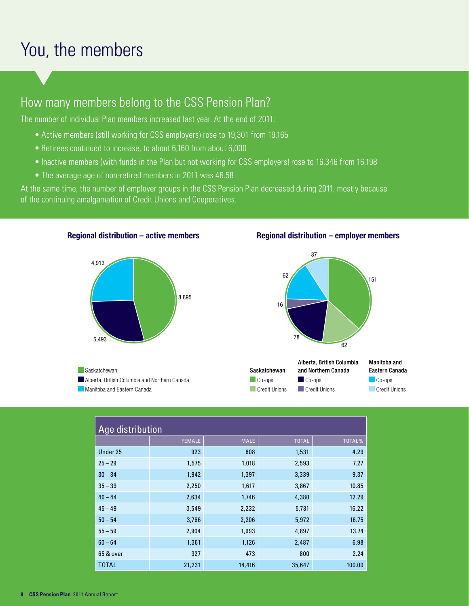# You, the members

## How many members belong to the CSS Pension Plan?

The number of individual Plan members increased last year. At the end of 2011:

- Active members (still working for CSS employers) rose to 19,301 from 19,165
- Retirees continued to increase, to about 6,160 from about 6,000
- Inactive members (with funds in the Plan but not working for CSS employers) rose to 16,346 from 16,198
- The average age of non-retired members in 2011 was 46.58

**Regional distribution – active members** 

At the same time, the number of employer groups in the CSS Pension Plan decreased during 2011, mostly because of the continuing amalgamation of Credit Unions and Cooperatives.



Saskatchewan

### **Regional distribution – employer members**



|                                               |                                   | Alberta, British Columbia | Manitoba and   |
|-----------------------------------------------|-----------------------------------|---------------------------|----------------|
| Saskatchewan                                  | Saskatchewan                      | and Northern Canada       | Eastern Canada |
| Alberta, British Columbia and Northern Canada | $\mathsf{Co}\text{-}\mathsf{obs}$ | $\triangle$ Co-ops        | Co-ops         |
| Manitoba and Eastern Canada                   | Credit Unions                     | Credit Unions             | Credit Unions  |

| Age distribution |               |             |              |        |  |
|------------------|---------------|-------------|--------------|--------|--|
|                  | <b>FEMALE</b> | <b>MALE</b> | <b>TOTAL</b> | TOTAL% |  |
| Under 25         | 923           | 608         | 1,531        | 4.29   |  |
| $25 - 29$        | 1,575         | 1,018       | 2,593        | 7.27   |  |
| $30 - 34$        | 1,942         | 1,397       | 3,339        | 9.37   |  |
| $35 - 39$        | 2,250         | 1,617       | 3,867        | 10.85  |  |
| $40 - 44$        | 2,634         | 1,746       | 4,380        | 12.29  |  |
| $45 - 49$        | 3,549         | 2,232       | 5,781        | 16.22  |  |
| $50 - 54$        | 3,766         | 2,206       | 5,972        | 16.75  |  |
| $55 - 59$        | 2,904         | 1,993       | 4,897        | 13.74  |  |
| $60 - 64$        | 1,361         | 1,126       | 2,487        | 6.98   |  |
| 65 & over        | 327           | 473         | 800          | 2.24   |  |
| <b>TOTAL</b>     | 21,231        | 14,416      | 35,647       | 100.00 |  |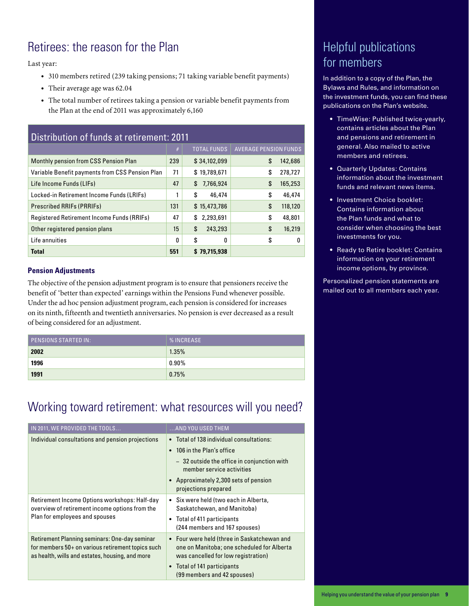# Retirees: the reason for the Plan

Last year:

- • 310 members retired (239 taking pensions; 71 taking variable benefit payments)
- Their average age was 62.04
- The total number of retirees taking a pension or variable benefit payments from the Plan at the end of 2011 was approximately 6,160

| Distribution of funds at retirement: 2011         |     |                    |                              |  |  |  |
|---------------------------------------------------|-----|--------------------|------------------------------|--|--|--|
|                                                   | #   | <b>TOTAL FUNDS</b> | <b>AVERAGE PENSION FUNDS</b> |  |  |  |
| Monthly pension from CSS Pension Plan             | 239 | \$34,102,099       | \$<br>142,686                |  |  |  |
| Variable Benefit payments from CSS Pension Plan   | 71  | \$19,789,671       | \$<br>278,727                |  |  |  |
| Life Income Funds (LIFs)                          | 47  | \$<br>7,766,924    | \$<br>165,253                |  |  |  |
| Locked-in Retirement Income Funds (LRIFs)         | 1   | \$<br>46,474       | \$<br>46,474                 |  |  |  |
| <b>Prescribed RRIFs (PRRIFs)</b>                  | 131 | \$15,473,786       | \$<br>118,120                |  |  |  |
| <b>Registered Retirement Income Funds (RRIFs)</b> | 47  | 2,293,691<br>\$    | \$<br>48,801                 |  |  |  |
| Other registered pension plans                    | 15  | \$<br>243,293      | \$<br>16,219                 |  |  |  |
| Life annuities                                    | 0   | \$<br>0            | \$<br>0                      |  |  |  |
| <b>Total</b>                                      | 551 | \$79.715.938       |                              |  |  |  |

### **Pension Adjustments**

The objective of the pension adjustment program is to ensure that pensioners receive the benefit of 'better than expected' earnings within the Pensions Fund whenever possible. Under the ad hoc pension adjustment program, each pension is considered for increases on its ninth, fifteenth and twentieth anniversaries. No pension is ever decreased as a result of being considered for an adjustment.

| <b>PENSIONS STARTED IN:</b> | <b>WINCREASE</b> |
|-----------------------------|------------------|
| 2002                        | 1.35%            |
| 1996                        | $0.90\%$         |
| 1991                        | 0.75%            |

## Working toward retirement: what resources will you need?

| IN 2011, WE PROVIDED THE TOOLS                                                                                                                        | AND YOU USED THEM                                                                                                                |
|-------------------------------------------------------------------------------------------------------------------------------------------------------|----------------------------------------------------------------------------------------------------------------------------------|
| Individual consultations and pension projections                                                                                                      | Total of 138 individual consultations:                                                                                           |
|                                                                                                                                                       | 106 in the Plan's office<br>$\bullet$                                                                                            |
|                                                                                                                                                       | - 32 outside the office in conjunction with<br>member service activities                                                         |
|                                                                                                                                                       | • Approximately 2,300 sets of pension<br>projections prepared                                                                    |
| Retirement Income Options workshops: Half-day                                                                                                         | • Six were held (two each in Alberta,                                                                                            |
| overview of retirement income options from the<br>Plan for employees and spouses                                                                      | Saskatchewan, and Manitoba)                                                                                                      |
|                                                                                                                                                       | Total of 411 participants<br>٠<br>(244 members and 167 spouses)                                                                  |
| Retirement Planning seminars: One-day seminar<br>for members 50+ on various retirement topics such<br>as health, wills and estates, housing, and more | • Four were held (three in Saskatchewan and<br>one on Manitoba; one scheduled for Alberta<br>was cancelled for low registration) |
|                                                                                                                                                       | Total of 141 participants<br>$\bullet$<br>(99 members and 42 spouses)                                                            |

# Helpful publications for members

In addition to a copy of the Plan, the Bylaws and Rules, and information on the investment funds, you can find these publications on the Plan's website.

- TimeWise: Published twice-yearly, contains articles about the Plan and pensions and retirement in general. Also mailed to active members and retirees.
- • Quarterly Updates: Contains information about the investment funds and relevant news items.
- Investment Choice booklet: Contains information about the Plan funds and what to consider when choosing the best investments for you.
- Ready to Retire booklet: Contains information on your retirement income options, by province.

Personalized pension statements are mailed out to all members each year.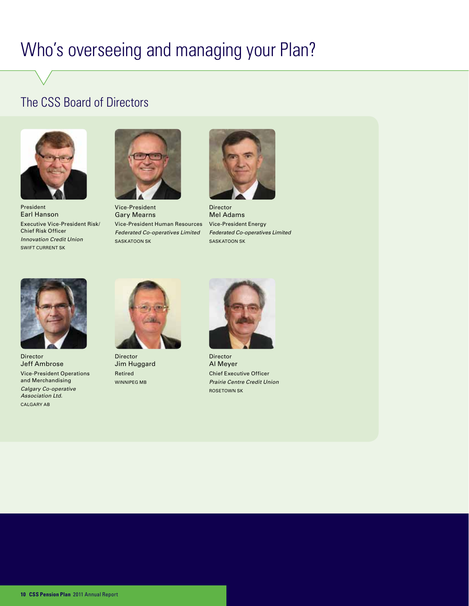# Who's overseeing and managing your Plan?

## The CSS Board of Directors



President Earl Hanson Executive Vice-President Risk/ Chief Risk Officer *Innovation Credit Union* Swift Current SK



Vice-President Gary Mearns Vice-President Human Resources *Federated Co-operatives Limited* SASKATOON SK



Director Mel Adams Vice-President Energy *Federated Co-operatives Limited* SASKATOON SK



Director Jeff Ambrose Vice-President Operations and Merchandising *Calgary Co-operative Association Ltd.* CALGARY AB



Director Jim Huggard Retired Winnipeg MB



Director Al Meyer Chief Executive Officer *Prairie Centre Credit Union* Rosetown SK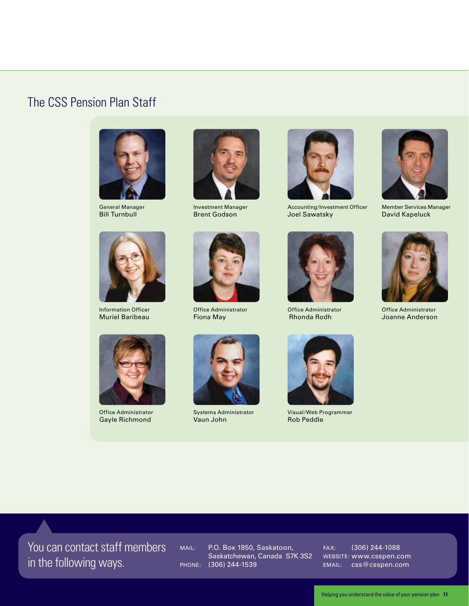### The CSS Pension Plan Staff



General Manager Bill Turnbull



Investment Manager Brent Godson







Accounting/Investment Officer Joel Sawatsky



Office Administrator Rhonda Rodh



Member Services Manager David Kapeluck



Office Administrator Joanne Anderson



Information Officer Muriel Baribeau



Office Administrator Gayle Richmond



Office Administrator Fiona May

Systems Administrator Vaun John



Visual/Web Programmer Rob Peddle

You can contact staff members in the following ways.

Mail: P.O. Box 1850, Saskatoon, Saskatchewan, Canada S7K 3S2 Phone: (306) 244-1539

Fax: (306) 244-1088 Website: www.csspen.com EMAIL: css@csspen.com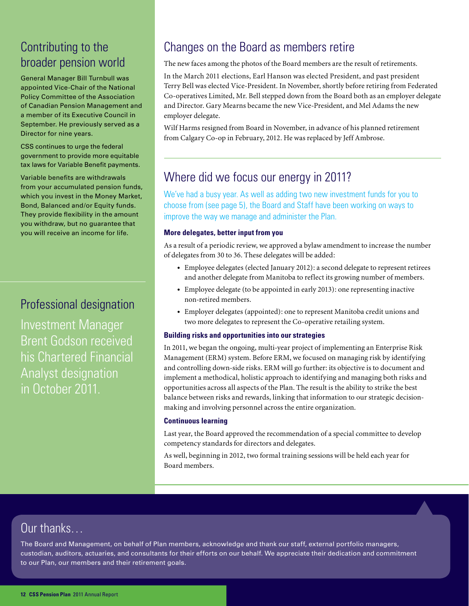# Contributing to the broader pension world

General Manager Bill Turnbull was appointed Vice-Chair of the National Policy Committee of the Association of Canadian Pension Management and a member of its Executive Council in September. He previously served as a Director for nine years.

CSS continues to urge the federal government to provide more equitable tax laws for Variable Benefit payments.

Variable benefits are withdrawals from your accumulated pension funds, which you invest in the Money Market, Bond, Balanced and/or Equity funds. They provide flexibility in the amount you withdraw, but no guarantee that you will receive an income for life.

### Professional designation

Investment Manager Brent Godson received his Chartered Financial Analyst designation in October 2011.

# Changes on the Board as members retire

The new faces among the photos of the Board members are the result of retirements.

In the March 2011 elections, Earl Hanson was elected President, and past president Terry Bell was elected Vice-President. In November, shortly before retiring from Federated Co-operatives Limited, Mr. Bell stepped down from the Board both as an employer delegate and Director. Gary Mearns became the new Vice-President, and Mel Adams the new employer delegate.

Wilf Harms resigned from Board in November, in advance of his planned retirement from Calgary Co-op in February, 2012. He was replaced by Jeff Ambrose.

## Where did we focus our energy in 2011?

We've had a busy year. As well as adding two new investment funds for you to choose from (see page 5), the Board and Staff have been working on ways to improve the way we manage and administer the Plan.

### **More delegates, better input from you**

As a result of a periodic review, we approved a bylaw amendment to increase the number of delegates from 30 to 36. These delegates will be added:

- • Employee delegates (elected January 2012): a second delegate to represent retirees and another delegate from Manitoba to reflect its growing number of members.
- • Employee delegate (to be appointed in early 2013): one representing inactive non-retired members.
- • Employer delegates (appointed): one to represent Manitoba credit unions and two more delegates to represent the Co-operative retailing system.

### **Building risks and opportunities into our strategies**

In 2011, we began the ongoing, multi-year project of implementing an Enterprise Risk Management (ERM) system. Before ERM, we focused on managing risk by identifying and controlling down-side risks. ERM will go further: its objective is to document and implement a methodical, holistic approach to identifying and managing both risks and opportunities across all aspects of the Plan. The result is the ability to strike the best balance between risks and rewards, linking that information to our strategic decisionmaking and involving personnel across the entire organization.

### **Continuous learning**

Last year, the Board approved the recommendation of a special committee to develop competency standards for directors and delegates.

As well, beginning in 2012, two formal training sessions will be held each year for Board members.

## Our thanks…

The Board and Management, on behalf of Plan members, acknowledge and thank our staff, external portfolio managers, custodian, auditors, actuaries, and consultants for their efforts on our behalf. We appreciate their dedication and commitment to our Plan, our members and their retirement goals.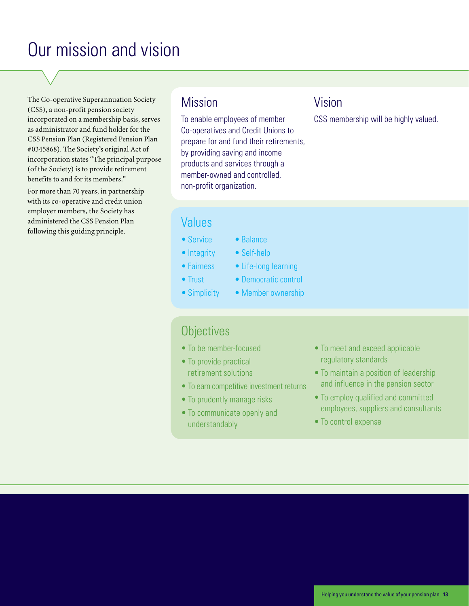# Our mission and vision

The Co-operative Superannuation Society (CSS), a non-profit pension society incorporated on a membership basis, serves as administrator and fund holder for the CSS Pension Plan (Registered Pension Plan #0345868). The Society's original Act of incorporation states "The principal purpose (of the Society) is to provide retirement benefits to and for its members."

For more than 70 years, in partnership with its co-operative and credit union employer members, the Society has administered the CSS Pension Plan following this guiding principle.

### **Mission**

To enable employees of member Co-operatives and Credit Unions to prepare for and fund their retirements, by providing saving and income products and services through a member-owned and controlled, non-profit organization.

### Vision

CSS membership will be highly valued.

### Values

- Service
- Integrity
- Fairness
- Trust
- Simplicity
- • Balance
- Self-help
- Life-long learning
- Democratic control
- Member ownership

### **Objectives**

- To be member-focused
- To provide practical retirement solutions
- To earn competitive investment returns
- To prudently manage risks
- • To communicate openly and understandably
- To meet and exceed applicable regulatory standards
- To maintain a position of leadership and influence in the pension sector
- To employ qualified and committed employees, suppliers and consultants
- To control expense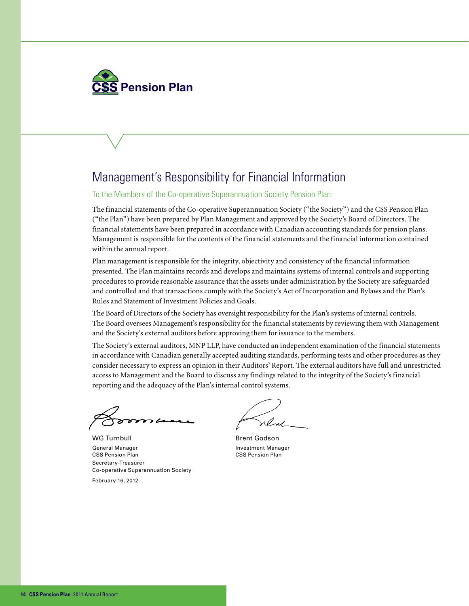

### Management's Responsibility for Financial Information

To the Members of the Co-operative Superannuation Society Pension Plan:

The financial statements of the Co-operative Superannuation Society ("the Society") and the CSS Pension Plan ("the Plan") have been prepared by Plan Management and approved by the Society's Board of Directors. The financial statements have been prepared in accordance with Canadian accounting standards for pension plans. Management is responsible for the contents of the financial statements and the financial information contained within the annual report.

Plan management is responsible for the integrity, objectivity and consistency of the financial information presented. The Plan maintains records and develops and maintains systems of internal controls and supporting procedures to provide reasonable assurance that the assets under administration by the Society are safeguarded and controlled and that transactions comply with the Society's Act of Incorporation and Bylaws and the Plan's Rules and Statement of Investment Policies and Goals.

The Board of Directors of the Society has oversight responsibility for the Plan's systems of internal controls. The Board oversees Management's responsibility for the financial statements by reviewing them with Management and the Society's external auditors before approving them for issuance to the members.

The Society's external auditors, MNP LLP, have conducted an independent examination of the financial statements in accordance with Canadian generally accepted auditing standards, performing tests and other procedures as they consider necessary to express an opinion in their Auditors' Report. The external auditors have full and unrestricted access to Management and the Board to discuss any findings related to the integrity of the Society's financial reporting and the adequacy of the Plan's internal control systems.

WG Turnbull and Brent Godson General Manager **Investment Manager** Investment Manager CSS Pension Plan CSS Pension Plan Secretary-Treasurer Co-operative Superannuation Society

February 16, 2012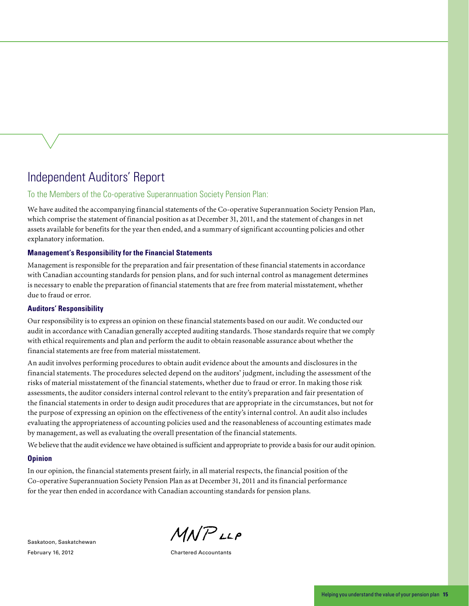### Independent Auditors' Report

### To the Members of the Co-operative Superannuation Society Pension Plan:

We have audited the accompanying financial statements of the Co-operative Superannuation Society Pension Plan, which comprise the statement of financial position as at December 31, 2011, and the statement of changes in net assets available for benefits for the year then ended, and a summary of significant accounting policies and other explanatory information.

### **Management's Responsibility for the Financial Statements**

Management is responsible for the preparation and fair presentation of these financial statements in accordance with Canadian accounting standards for pension plans, and for such internal control as management determines is necessary to enable the preparation of financial statements that are free from material misstatement, whether due to fraud or error.

#### **Auditors' Responsibility**

Our responsibility is to express an opinion on these financial statements based on our audit. We conducted our audit in accordance with Canadian generally accepted auditing standards. Those standards require that we comply with ethical requirements and plan and perform the audit to obtain reasonable assurance about whether the financial statements are free from material misstatement.

An audit involves performing procedures to obtain audit evidence about the amounts and disclosures in the financial statements. The procedures selected depend on the auditors' judgment, including the assessment of the risks of material misstatement of the financial statements, whether due to fraud or error. In making those risk assessments, the auditor considers internal control relevant to the entity's preparation and fair presentation of the financial statements in order to design audit procedures that are appropriate in the circumstances, but not for the purpose of expressing an opinion on the effectiveness of the entity's internal control. An audit also includes evaluating the appropriateness of accounting policies used and the reasonableness of accounting estimates made by management, as well as evaluating the overall presentation of the financial statements.

We believe that the audit evidence we have obtained is sufficient and appropriate to provide a basis for our audit opinion.

#### **Opinion**

In our opinion, the financial statements present fairly, in all material respects, the financial position of the Co-operative Superannuation Society Pension Plan as at December 31, 2011 and its financial performance for the year then ended in accordance with Canadian accounting standards for pension plans.

Saskatoon, Saskatchewan February 16, 2012 **Chartered Accountants** 

 $M N P$ LLP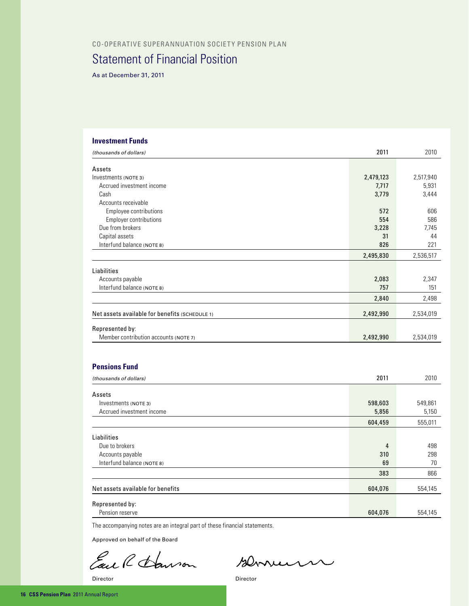#### Co-operative Superannuation Society Pension Plan

### Statement of Financial Position

As at December 31, 2011

### **Investment Funds** *(thousands of dollars)* 2011 2010 Assets Investments (Note 3) 2,479,123 2,517,940 Accrued investment income 6,931 5,931 5,931 5,931 5,931 5,931 5,931 5,931 5,931 5,931 5,931 5,931 5,931 5,931 5,931 5,931 5,931 5,931 5,931 5,931 5,931 5,931 5,931 5,931 5,931 5,931 5,931 5,931 5,931 5,931 5,931 5,931 5,93  $\epsilon$  . Cash 3,779  $\epsilon$  3,444 Accounts receivable Employee contributions 572 606 Employer contributions 554 586 Due from brokers 3,228 7,745 Capital assets 31 44 Interfund balance (NOTE 8) 826 221 **2,495,830** 2,536,517 Liabilities Accounts payable 2,347 Interfund balance (NOTE 8) 757 151 **2,840** 2,498 Net assets available for benefits (SCHEDULE 1) 2,492,990 2,534,019 Represented by: Member contribution accounts (NOTE 7) 2,534,019 **Pensions Fund** *(thousands of dollars)* 2011 2010 Assets Investments (NOTE 3) 598,603 549,861 549,861 549,861 549,861 549,861 549,861 549,861 549,861 549,861 549,861 549,861 549,861 549,861 549,861 549,861 549,861 549,861 549,861 549,861 549,861 549,861 549,861 549,861 549,861 5 Accrued investment income 5,150 **604,459** 555,011 Liabilities **Due to brokers** 4 498 Accounts payable 298 Interfund balance (Note 8) 69 70 383 866 Net assets available for benefits 604,076 604,076 554,145

The accompanying notes are an integral part of these financial statements.

Approved on behalf of the Board

Represented by:

Earl Harron

Bennum

Pension reserve 554,145

Director Director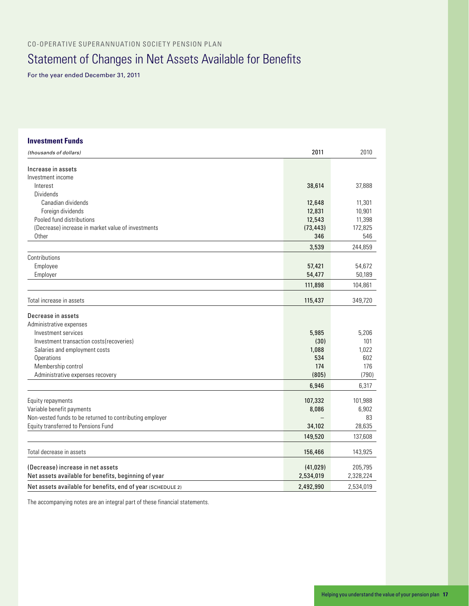Co-operative Superannuation Society Pension Plan

# Statement of Changes in Net Assets Available for Benefits

For the year ended December 31, 2011

| <b>Investment Funds</b>                                     |           |           |
|-------------------------------------------------------------|-----------|-----------|
| (thousands of dollars)                                      | 2011      | 2010      |
| Increase in assets                                          |           |           |
| Investment income                                           |           |           |
| Interest                                                    | 38,614    | 37,888    |
| Dividends                                                   |           |           |
| Canadian dividends                                          | 12,648    | 11,301    |
| Foreign dividends                                           | 12,831    | 10,901    |
| Pooled fund distributions                                   | 12,543    | 11,398    |
| (Decrease) increase in market value of investments          | (73, 443) | 172,825   |
| Other                                                       | 346       | 546       |
|                                                             | 3,539     | 244,859   |
| Contributions                                               |           |           |
| Employee                                                    | 57,421    | 54,672    |
| Employer                                                    | 54,477    | 50,189    |
|                                                             | 111,898   | 104,861   |
| Total increase in assets                                    | 115,437   | 349,720   |
| Decrease in assets                                          |           |           |
| Administrative expenses                                     |           |           |
| Investment services                                         | 5,985     | 5,206     |
| Investment transaction costs (recoveries)                   | (30)      | 101       |
| Salaries and employment costs                               | 1,088     | 1,022     |
| Operations                                                  | 534       | 602       |
| Membership control                                          | 174       | 176       |
| Administrative expenses recovery                            | (805)     | (790)     |
|                                                             | 6,946     | 6,317     |
| Equity repayments                                           | 107,332   | 101,988   |
| Variable benefit payments                                   | 8,086     | 6,902     |
| Non-vested funds to be returned to contributing employer    |           | 83        |
| Equity transferred to Pensions Fund                         | 34,102    | 28,635    |
|                                                             | 149,520   | 137,608   |
|                                                             |           |           |
| Total decrease in assets                                    | 156,466   | 143,925   |
| (Decrease) increase in net assets                           | (41, 029) | 205,795   |
| Net assets available for benefits, beginning of year        | 2,534,019 | 2,328,224 |
| Net assets available for benefits, end of year (SCHEDULE 2) | 2,492,990 | 2,534,019 |

The accompanying notes are an integral part of these financial statements.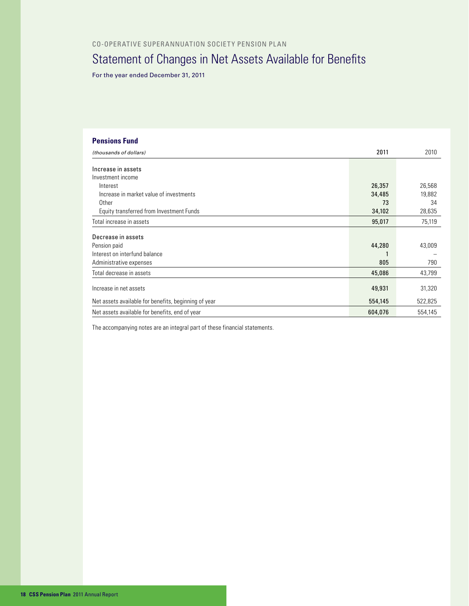# Statement of Changes in Net Assets Available for Benefits

For the year ended December 31, 2011

| <b>Pensions Fund</b>                                 |         |         |
|------------------------------------------------------|---------|---------|
| (thousands of dollars)                               | 2011    | 2010    |
| Increase in assets                                   |         |         |
|                                                      |         |         |
| Investment income                                    |         |         |
| Interest                                             | 26,357  | 26,568  |
| Increase in market value of investments              | 34,485  | 19,882  |
| Other                                                | 73      | 34      |
| Equity transferred from Investment Funds             | 34,102  | 28,635  |
| Total increase in assets                             | 95,017  | 75,119  |
| Decrease in assets                                   |         |         |
| Pension paid                                         | 44,280  | 43,009  |
| Interest on interfund balance                        |         |         |
|                                                      |         |         |
| Administrative expenses                              | 805     | 790     |
| Total decrease in assets                             | 45,086  | 43,799  |
| Increase in net assets                               | 49,931  | 31,320  |
|                                                      |         |         |
| Net assets available for benefits, beginning of year | 554,145 | 522,825 |
| Net assets available for benefits, end of year       | 604,076 | 554,145 |

The accompanying notes are an integral part of these financial statements.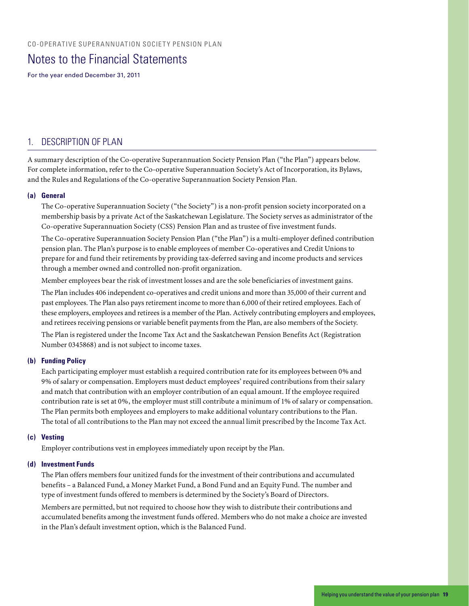### Notes to the Financial Statements

For the year ended December 31, 2011

### 1. DESCRIPTION OF PLAN

A summary description of the Co-operative Superannuation Society Pension Plan ("the Plan") appears below. For complete information, refer to the Co-operative Superannuation Society's Act of Incorporation, its Bylaws, and the Rules and Regulations of the Co-operative Superannuation Society Pension Plan.

#### **(a) General**

The Co-operative Superannuation Society ("the Society") is a non-profit pension society incorporated on a membership basis by a private Act of the Saskatchewan Legislature. The Society serves as administrator of the Co-operative Superannuation Society (CSS) Pension Plan and as trustee of five investment funds.

The Co-operative Superannuation Society Pension Plan ("the Plan") is a multi-employer defined contribution pension plan. The Plan's purpose is to enable employees of member Co-operatives and Credit Unions to prepare for and fund their retirements by providing tax-deferred saving and income products and services through a member owned and controlled non-profit organization.

Member employees bear the risk of investment losses and are the sole beneficiaries of investment gains.

The Plan includes 406 independent co-operatives and credit unions and more than 35,000 of their current and past employees. The Plan also pays retirement income to more than 6,000 of their retired employees. Each of these employers, employees and retirees is a member of the Plan. Actively contributing employers and employees, and retirees receiving pensions or variable benefit payments from the Plan, are also members of the Society.

The Plan is registered under the Income Tax Act and the Saskatchewan Pension Benefits Act (Registration Number 0345868) and is not subject to income taxes.

#### **(b) Funding Policy**

Each participating employer must establish a required contribution rate for its employees between 0% and 9% of salary or compensation. Employers must deduct employees' required contributions from their salary and match that contribution with an employer contribution of an equal amount. If the employee required contribution rate is set at 0%, the employer must still contribute a minimum of 1% of salary or compensation. The Plan permits both employees and employers to make additional voluntary contributions to the Plan. The total of all contributions to the Plan may not exceed the annual limit prescribed by the Income Tax Act.

#### **(c) Vesting**

Employer contributions vest in employees immediately upon receipt by the Plan.

#### **(d) Investment Funds**

The Plan offers members four unitized funds for the investment of their contributions and accumulated benefits – a Balanced Fund, a Money Market Fund, a Bond Fund and an Equity Fund. The number and type of investment funds offered to members is determined by the Society's Board of Directors.

Members are permitted, but not required to choose how they wish to distribute their contributions and accumulated benefits among the investment funds offered. Members who do not make a choice are invested in the Plan's default investment option, which is the Balanced Fund.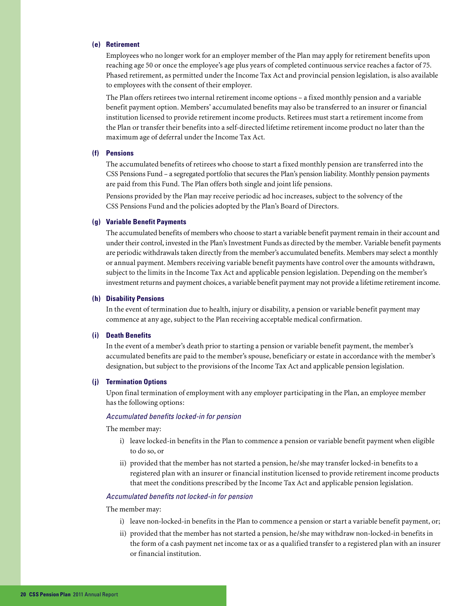#### **(e) Retirement**

Employees who no longer work for an employer member of the Plan may apply for retirement benefits upon reaching age 50 or once the employee's age plus years of completed continuous service reaches a factor of 75. Phased retirement, as permitted under the Income Tax Act and provincial pension legislation, is also available to employees with the consent of their employer.

The Plan offers retirees two internal retirement income options – a fixed monthly pension and a variable benefit payment option. Members' accumulated benefits may also be transferred to an insurer or financial institution licensed to provide retirement income products. Retirees must start a retirement income from the Plan or transfer their benefits into a self-directed lifetime retirement income product no later than the maximum age of deferral under the Income Tax Act.

#### **(f) Pensions**

The accumulated benefits of retirees who choose to start a fixed monthly pension are transferred into the CSS Pensions Fund – a segregated portfolio that secures the Plan's pension liability. Monthly pension payments are paid from this Fund. The Plan offers both single and joint life pensions.

Pensions provided by the Plan may receive periodic ad hoc increases, subject to the solvency of the CSS Pensions Fund and the policies adopted by the Plan's Board of Directors.

#### **(g) Variable Benefit Payments**

The accumulated benefits of members who choose to start a variable benefit payment remain in their account and under their control, invested in the Plan's Investment Funds as directed by the member. Variable benefit payments are periodic withdrawals taken directly from the member's accumulated benefits. Members may select a monthly or annual payment. Members receiving variable benefit payments have control over the amounts withdrawn, subject to the limits in the Income Tax Act and applicable pension legislation. Depending on the member's investment returns and payment choices, a variable benefit payment may not provide a lifetime retirement income.

#### **(h) Disability Pensions**

In the event of termination due to health, injury or disability, a pension or variable benefit payment may commence at any age, subject to the Plan receiving acceptable medical confirmation.

#### **(i) Death Benefits**

In the event of a member's death prior to starting a pension or variable benefit payment, the member's accumulated benefits are paid to the member's spouse, beneficiary or estate in accordance with the member's designation, but subject to the provisions of the Income Tax Act and applicable pension legislation.

#### **(j) Termination Options**

Upon final termination of employment with any employer participating in the Plan, an employee member has the following options:

#### *Accumulated benefits locked-in for pension*

The member may:

- i) leave locked-in benefits in the Plan to commence a pension or variable benefit payment when eligible to do so, or
- ii) provided that the member has not started a pension, he/she may transfer locked-in benefits to a registered plan with an insurer or financial institution licensed to provide retirement income products that meet the conditions prescribed by the Income Tax Act and applicable pension legislation.

#### *Accumulated benefits not locked-in for pension*

#### The member may:

- i) leave non-locked-in benefits in the Plan to commence a pension or start a variable benefit payment, or;
- ii) provided that the member has not started a pension, he/she may withdraw non-locked-in benefits in the form of a cash payment net income tax or as a qualified transfer to a registered plan with an insurer or financial institution.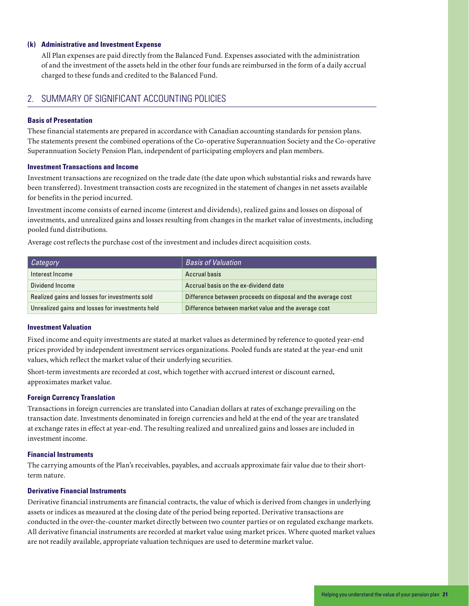#### **(k) Administrative and Investment Expense**

All Plan expenses are paid directly from the Balanced Fund. Expenses associated with the administration of and the investment of the assets held in the other four funds are reimbursed in the form of a daily accrual charged to these funds and credited to the Balanced Fund.

### 2. SUMMARY OF SIGNIFICANT ACCOUNTING POLICIES

#### **Basis of Presentation**

These financial statements are prepared in accordance with Canadian accounting standards for pension plans. The statements present the combined operations of the Co-operative Superannuation Society and the Co-operative Superannuation Society Pension Plan, independent of participating employers and plan members.

#### **Investment Transactions and Income**

Investment transactions are recognized on the trade date (the date upon which substantial risks and rewards have been transferred). Investment transaction costs are recognized in the statement of changes in net assets available for benefits in the period incurred.

Investment income consists of earned income (interest and dividends), realized gains and losses on disposal of investments, and unrealized gains and losses resulting from changes in the market value of investments, including pooled fund distributions.

Average cost reflects the purchase cost of the investment and includes direct acquisition costs.

| Category                                         | <b>Basis of Valuation</b>                                    |
|--------------------------------------------------|--------------------------------------------------------------|
| Interest Income                                  | <b>Accrual basis</b>                                         |
| Dividend Income                                  | Accrual basis on the ex-dividend date                        |
| Realized gains and losses for investments sold   | Difference between proceeds on disposal and the average cost |
| Unrealized gains and losses for investments held | Difference between market value and the average cost         |

#### **Investment Valuation**

Fixed income and equity investments are stated at market values as determined by reference to quoted year-end prices provided by independent investment services organizations. Pooled funds are stated at the year-end unit values, which reflect the market value of their underlying securities.

Short-term investments are recorded at cost, which together with accrued interest or discount earned, approximates market value.

#### **Foreign Currency Translation**

Transactions in foreign currencies are translated into Canadian dollars at rates of exchange prevailing on the transaction date. Investments denominated in foreign currencies and held at the end of the year are translated at exchange rates in effect at year-end. The resulting realized and unrealized gains and losses are included in investment income.

#### **Financial Instruments**

The carrying amounts of the Plan's receivables, payables, and accruals approximate fair value due to their shortterm nature.

#### **Derivative Financial Instruments**

Derivative financial instruments are financial contracts, the value of which is derived from changes in underlying assets or indices as measured at the closing date of the period being reported. Derivative transactions are conducted in the over-the-counter market directly between two counter parties or on regulated exchange markets. All derivative financial instruments are recorded at market value using market prices. Where quoted market values are not readily available, appropriate valuation techniques are used to determine market value.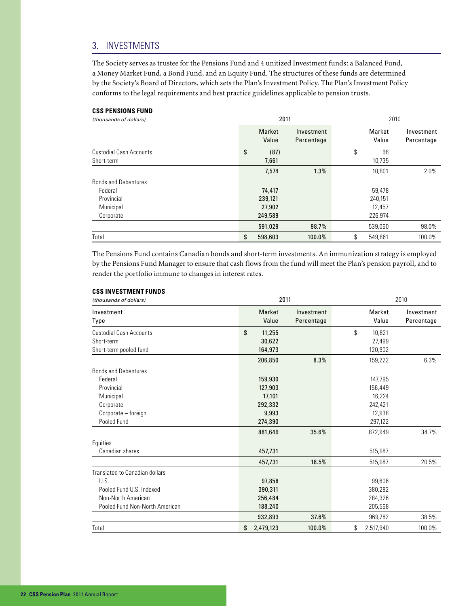### 3. INVESTMENTS

The Society serves as trustee for the Pensions Fund and 4 unitized Investment funds: a Balanced Fund, a Money Market Fund, a Bond Fund, and an Equity Fund. The structures of these funds are determined by the Society's Board of Directors, which sets the Plan's Investment Policy. The Plan's Investment Policy conforms to the legal requirements and best practice guidelines applicable to pension trusts.

#### **CSS PENSIONS FUND**

| (thousands of dollars)         | 2011 |                 |                          | 2010 |                 |                          |
|--------------------------------|------|-----------------|--------------------------|------|-----------------|--------------------------|
|                                |      | Market<br>Value | Investment<br>Percentage |      | Market<br>Value | Investment<br>Percentage |
| <b>Custodial Cash Accounts</b> | \$   | (87)            |                          | \$   | 66              |                          |
| Short-term                     |      | 7,661           |                          |      | 10,735          |                          |
|                                |      | 7,574           | 1.3%                     |      | 10,801          | 2.0%                     |
| <b>Bonds and Debentures</b>    |      |                 |                          |      |                 |                          |
| Federal                        |      | 74,417          |                          |      | 59,478          |                          |
| Provincial                     |      | 239,121         |                          |      | 240,151         |                          |
| Municipal                      |      | 27,902          |                          |      | 12.457          |                          |
| Corporate                      |      | 249,589         |                          |      | 226,974         |                          |
|                                |      | 591,029         | 98.7%                    |      | 539.060         | 98.0%                    |
| Total                          | \$   | 598,603         | 100.0%                   | \$   | 549.861         | 100.0%                   |

The Pensions Fund contains Canadian bonds and short-term investments. An immunization strategy is employed by the Pensions Fund Manager to ensure that cash flows from the fund will meet the Plan's pension payroll, and to render the portfolio immune to changes in interest rates.

#### **CSS INVESTMENT FUNDS**

| (thousands of dollars)                                                                                                           |                                                                        | 2011                     |                                                                         | 2010                     |  |  |
|----------------------------------------------------------------------------------------------------------------------------------|------------------------------------------------------------------------|--------------------------|-------------------------------------------------------------------------|--------------------------|--|--|
| Investment<br>Type                                                                                                               | Market<br>Value                                                        | Investment<br>Percentage | Market<br>Value                                                         | Investment<br>Percentage |  |  |
| <b>Custodial Cash Accounts</b><br>Short-term<br>Short-term pooled fund                                                           | \$<br>11,255<br>30,622<br>164,973                                      |                          | \$<br>10,821<br>27,499<br>120,902                                       |                          |  |  |
|                                                                                                                                  | 206,850                                                                | 8.3%                     | 159,222                                                                 | 6.3%                     |  |  |
| <b>Bonds and Debentures</b><br>Federal<br>Provincial<br>Municipal<br>Corporate<br>Corporate - foreign<br>Pooled Fund<br>Equities | 159,930<br>127,903<br>17,101<br>292,332<br>9.993<br>274,390<br>881,649 | 35.6%                    | 147,795<br>156,449<br>16,224<br>242,421<br>12.938<br>297,122<br>872,949 | 34.7%                    |  |  |
| Canadian shares                                                                                                                  | 457,731                                                                |                          | 515,987                                                                 |                          |  |  |
| Translated to Canadian dollars<br>U.S.<br>Pooled Fund U.S. Indexed<br>Non-North American<br>Pooled Fund Non-North American       | 457,731<br>97,858<br>390,311<br>256,484<br>188,240                     | 18.5%                    | 515,987<br>99.606<br>380,282<br>284,326<br>205,568                      | 20.5%                    |  |  |
|                                                                                                                                  | 932,893                                                                | 37.6%                    | 969,782                                                                 | 38.5%                    |  |  |
| Total                                                                                                                            | \$<br>2,479,123                                                        | 100.0%                   | \$<br>2,517,940                                                         | 100.0%                   |  |  |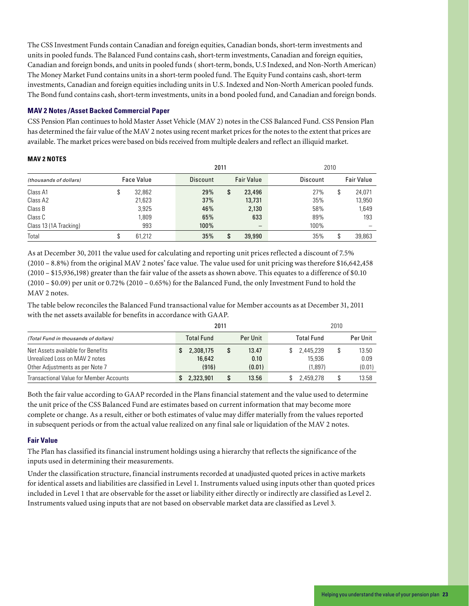The CSS Investment Funds contain Canadian and foreign equities, Canadian bonds, short-term investments and units in pooled funds. The Balanced Fund contains cash, short-term investments, Canadian and foreign equities, Canadian and foreign bonds, and units in pooled funds ( short-term, bonds, U.S Indexed, and Non-North American) The Money Market Fund contains units in a short-term pooled fund. The Equity Fund contains cash, short-term investments, Canadian and foreign equities including units in U.S. Indexed and Non-North American pooled funds. The Bond fund contains cash, short-term investments, units in a bond pooled fund, and Canadian and foreign bonds.

#### **MAV 2 Notes /Asset Backed Commercial Paper**

CSS Pension Plan continues to hold Master Asset Vehicle (MAV 2) notes in the CSS Balanced Fund. CSS Pension Plan has determined the fair value of the MAV 2 notes using recent market prices for the notes to the extent that prices are available. The market prices were based on bids received from multiple dealers and reflect an illiquid market.

#### **MAV 2 NOTES**

|                        |  |                   | 2011            |   | 2010                     |          |   |                   |
|------------------------|--|-------------------|-----------------|---|--------------------------|----------|---|-------------------|
| (thousands of dollars) |  | <b>Face Value</b> | <b>Discount</b> |   | <b>Fair Value</b>        | Discount |   | <b>Fair Value</b> |
| Class A1               |  | 32,862            | 29%             | S | 23,496                   | 27%      | ¢ | 24,071            |
| Class A2               |  | 21,623            | 37%             |   | 13,731                   | 35%      |   | 13,950            |
| Class B                |  | 3,925             | 46%             |   | 2,130                    | 58%      |   | 1,649             |
| Class C                |  | 1,809             | 65%             |   | 633                      | 89%      |   | 193               |
| Class 13 (1A Tracking) |  | 993               | 100%            |   | $\overline{\phantom{0}}$ | 100%     |   |                   |
| Total                  |  | 61.212            | 35%             | S | 39,990                   | 35%      |   | 39,863            |

As at December 30, 2011 the value used for calculating and reporting unit prices reflected a discount of 7.5% (2010 – 8.8%) from the original MAV 2 notes' face value. The value used for unit pricing was therefore \$16,642,458 (2010 – \$15,936,198) greater than the fair value of the assets as shown above. This equates to a difference of \$0.10  $(2010 - $0.09)$  per unit or 0.72%  $(2010 - 0.65%)$  for the Balanced Fund, the only Investment Fund to hold the MAV 2 notes.

The table below reconciles the Balanced Fund transactional value for Member accounts as at December 31, 2011 with the net assets available for benefits in accordance with GAAP.

|                                                | 2011              |          | 2010              |  |          |  |
|------------------------------------------------|-------------------|----------|-------------------|--|----------|--|
| (Total Fund in thousands of dollars)           | <b>Total Fund</b> | Per Unit | <b>Total Fund</b> |  | Per Unit |  |
| Net Assets available for Benefits              | 2.308.175         | 13.47    | 2.445.239         |  | 13.50    |  |
| Unrealized Loss on MAV 2 notes                 | 16,642            | 0.10     | 15,936            |  | 0.09     |  |
| Other Adjustments as per Note 7                | (916)             | (0.01)   | (1,897)           |  | (0.01)   |  |
| <b>Transactional Value for Member Accounts</b> | 2,323,901         | 13.56    | 2.459.278         |  | 13.58    |  |

Both the fair value according to GAAP recorded in the Plans financial statement and the value used to determine the unit price of the CSS Balanced Fund are estimates based on current information that may become more complete or change. As a result, either or both estimates of value may differ materially from the values reported in subsequent periods or from the actual value realized on any final sale or liquidation of the MAV 2 notes.

#### **Fair Value**

The Plan has classified its financial instrument holdings using a hierarchy that reflects the significance of the inputs used in determining their measurements.

Under the classification structure, financial instruments recorded at unadjusted quoted prices in active markets for identical assets and liabilities are classified in Level 1. Instruments valued using inputs other than quoted prices included in Level 1 that are observable for the asset or liability either directly or indirectly are classified as Level 2. Instruments valued using inputs that are not based on observable market data are classified as Level 3.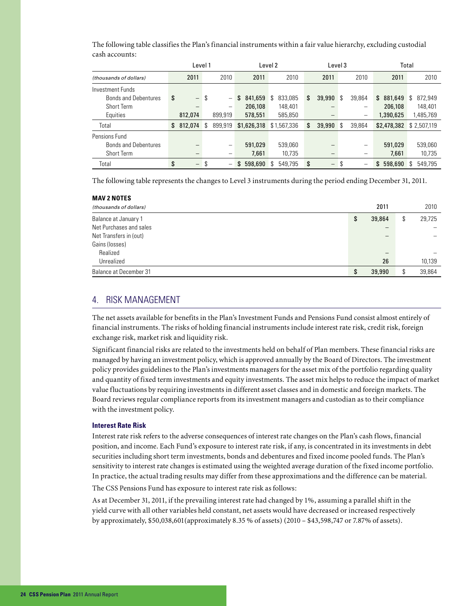|                             | Level 1                        |     |                          | Level 2<br>Level 3 |             | Total |             |                                |     |                          |               |    |             |
|-----------------------------|--------------------------------|-----|--------------------------|--------------------|-------------|-------|-------------|--------------------------------|-----|--------------------------|---------------|----|-------------|
| (thousands of dollars)      | 2011                           |     | 2010                     |                    | 2011        |       | 2010        | 2011                           |     | 2010                     | 2011          |    | 2010        |
| Investment Funds            |                                |     |                          |                    |             |       |             |                                |     |                          |               |    |             |
| <b>Bonds and Debentures</b> | \$<br>$\overline{\phantom{m}}$ | S   |                          | \$                 | 841,659     | S     | 833,085     | \$<br>39,990                   | S   | 39,864                   | \$<br>881,649 | S. | 872,949     |
| Short Term                  |                                |     | $\overline{\phantom{m}}$ |                    | 206,108     |       | 148.401     |                                |     |                          | 206,108       |    | 148.401     |
| Equities                    | 812,074                        |     | 899.919                  |                    | 578,551     |       | 585,850     |                                |     | $\overline{\phantom{m}}$ | 1,390,625     |    | 1,485,769   |
| Total                       | \$<br>812,074                  | \$. | 899.919                  |                    | \$1,626,318 |       | \$1,567,336 | \$<br>39,990                   | -\$ | 39.864                   | \$2,478,382   |    | \$2.507.119 |
| Pensions Fund               |                                |     |                          |                    |             |       |             |                                |     |                          |               |    |             |
| <b>Bonds and Debentures</b> |                                |     | $\overline{\phantom{0}}$ |                    | 591.029     |       | 539.060     |                                |     |                          | 591.029       |    | 539,060     |
| <b>Short Term</b>           |                                |     |                          |                    | 7,661       |       | 10,735      |                                |     |                          | 7,661         |    | 10,735      |
| Total                       | \$<br>$\overline{\phantom{m}}$ | S   |                          | \$                 | 598,690     | \$    | 549.795     | \$<br>$\overline{\phantom{m}}$ | S   | $\overline{\phantom{m}}$ | \$<br>598,690 | \$ | 549.795     |

The following table classifies the Plan's financial instruments within a fair value hierarchy, excluding custodial cash accounts:

The following table represents the changes to Level 3 instruments during the period ending December 31, 2011.

| <b>MAV 2 NOTES</b>      |              |              |
|-------------------------|--------------|--------------|
| (thousands of dollars)  | 2011         | 2010         |
| Balance at January 1    | \$<br>39,864 | \$<br>29,725 |
| Net Purchases and sales | -            |              |
| Net Transfers in (out)  |              |              |
| Gains (losses)          |              |              |
| Realized                | -            |              |
| Unrealized              | 26           | 10,139       |
| Balance at December 31  | \$<br>39,990 | \$<br>39,864 |

### 4. RISK MANAGEMENT

The net assets available for benefits in the Plan's Investment Funds and Pensions Fund consist almost entirely of financial instruments. The risks of holding financial instruments include interest rate risk, credit risk, foreign exchange risk, market risk and liquidity risk.

Significant financial risks are related to the investments held on behalf of Plan members. These financial risks are managed by having an investment policy, which is approved annually by the Board of Directors. The investment policy provides guidelines to the Plan's investments managers for the asset mix of the portfolio regarding quality and quantity of fixed term investments and equity investments. The asset mix helps to reduce the impact of market value fluctuations by requiring investments in different asset classes and in domestic and foreign markets. The Board reviews regular compliance reports from its investment managers and custodian as to their compliance with the investment policy.

#### **Interest Rate Risk**

Interest rate risk refers to the adverse consequences of interest rate changes on the Plan's cash flows, financial position, and income. Each Fund's exposure to interest rate risk, if any, is concentrated in its investments in debt securities including short term investments, bonds and debentures and fixed income pooled funds. The Plan's sensitivity to interest rate changes is estimated using the weighted average duration of the fixed income portfolio. In practice, the actual trading results may differ from these approximations and the difference can be material.

The CSS Pensions Fund has exposure to interest rate risk as follows:

As at December 31, 2011, if the prevailing interest rate had changed by 1%, assuming a parallel shift in the yield curve with all other variables held constant, net assets would have decreased or increased respectively by approximately, \$50,038,601(approximately 8.35 % of assets) (2010 – \$43,598,747 or 7.87% of assets).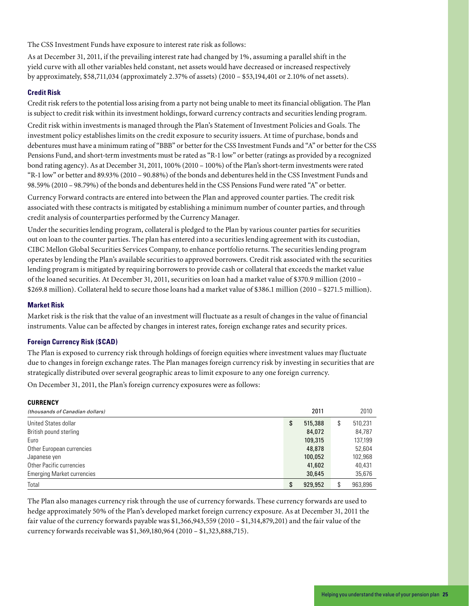The CSS Investment Funds have exposure to interest rate risk as follows:

As at December 31, 2011, if the prevailing interest rate had changed by 1%, assuming a parallel shift in the yield curve with all other variables held constant, net assets would have decreased or increased respectively by approximately, \$58,711,034 (approximately 2.37% of assets) (2010 – \$53,194,401 or 2.10% of net assets).

#### **Credit Risk**

Credit risk refers to the potential loss arising from a party not being unable to meet its financial obligation. The Plan is subject to credit risk within its investment holdings, forward currency contracts and securities lending program.

Credit risk within investments is managed through the Plan's Statement of Investment Policies and Goals. The investment policy establishes limits on the credit exposure to security issuers. At time of purchase, bonds and debentures must have a minimum rating of "BBB" or better for the CSS Investment Funds and "A" or better for the CSS Pensions Fund, and short-term investments must be rated as "R-1 low" or better (ratings as provided by a recognized bond rating agency). As at December 31, 2011, 100% (2010 – 100%) of the Plan's short-term investments were rated "R-1 low" or better and 89.93% (2010 – 90.88%) of the bonds and debentures held in the CSS Investment Funds and 98.59% (2010 – 98.79%) of the bonds and debentures held in the CSS Pensions Fund were rated "A" or better.

Currency Forward contracts are entered into between the Plan and approved counter parties. The credit risk associated with these contracts is mitigated by establishing a minimum number of counter parties, and through credit analysis of counterparties performed by the Currency Manager.

Under the securities lending program, collateral is pledged to the Plan by various counter parties for securities out on loan to the counter parties. The plan has entered into a securities lending agreement with its custodian, CIBC Mellon Global Securities Services Company, to enhance portfolio returns. The securities lending program operates by lending the Plan's available securities to approved borrowers. Credit risk associated with the securities lending program is mitigated by requiring borrowers to provide cash or collateral that exceeds the market value of the loaned securities. At December 31, 2011, securities on loan had a market value of \$370.9 million (2010 – \$269.8 million). Collateral held to secure those loans had a market value of \$386.1 million (2010 – \$271.5 million).

#### **Market Risk**

**CURRENCY**

Market risk is the risk that the value of an investment will fluctuate as a result of changes in the value of financial instruments. Value can be affected by changes in interest rates, foreign exchange rates and security prices.

#### **Foreign Currency Risk (\$CAD)**

The Plan is exposed to currency risk through holdings of foreign equities where investment values may fluctuate due to changes in foreign exchange rates. The Plan manages foreign currency risk by investing in securities that are strategically distributed over several geographic areas to limit exposure to any one foreign currency.

On December 31, 2011, the Plan's foreign currency exposures were as follows:

| <b>UUNNEIVUT</b>                  |               |    |         |
|-----------------------------------|---------------|----|---------|
| (thousands of Canadian dollars)   | 2011          |    | 2010    |
| United States dollar              | \$<br>515,388 | S  | 510,231 |
| British pound sterling            | 84,072        |    | 84,787  |
| Euro                              | 109,315       |    | 137,199 |
| Other European currencies         | 48,878        |    | 52.604  |
| Japanese yen                      | 100,052       |    | 102,968 |
| Other Pacific currencies          | 41,602        |    | 40,431  |
| <b>Emerging Market currencies</b> | 30,645        |    | 35,676  |
| Total                             | \$<br>929,952 | \$ | 963,896 |

The Plan also manages currency risk through the use of currency forwards. These currency forwards are used to hedge approximately 50% of the Plan's developed market foreign currency exposure. As at December 31, 2011 the fair value of the currency forwards payable was \$1,366,943,559 (2010 – \$1,314,879,201) and the fair value of the currency forwards receivable was \$1,369,180,964 (2010 – \$1,323,888,715).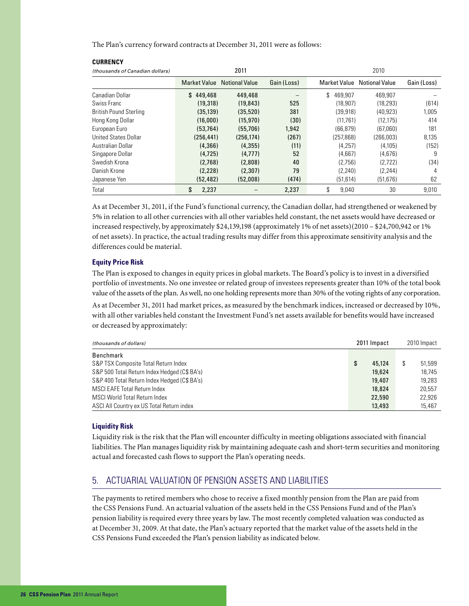The Plan's currency forward contracts at December 31, 2011 were as follows:

| (thousands of Canadian dollars) |                     | 2011                  |             | 2010          |                       |             |  |
|---------------------------------|---------------------|-----------------------|-------------|---------------|-----------------------|-------------|--|
|                                 | <b>Market Value</b> | <b>Notional Value</b> | Gain (Loss) | Market Value  | <b>Notional Value</b> | Gain (Loss) |  |
| Canadian Dollar                 | \$449.468           | 449,468               |             | \$<br>469.907 | 469.907               |             |  |
| Swiss Franc                     | (19.318)            | (19.843)              | 525         | (18.907)      | (18.293)              | (614)       |  |
| <b>British Pound Sterling</b>   | (35, 139)           | (35, 520)             | 381         | (39, 918)     | (40, 923)             | 1,005       |  |
| Hong Kong Dollar                | (16,000)            | (15, 970)             | (30)        | (11,761)      | (12.175)              | 414         |  |
| European Euro                   | (53, 764)           | (55,706)              | 1,942       | (66, 879)     | (67,060)              | 181         |  |
| <b>United States Dollar</b>     | (256.441)           | (256, 174)            | (267)       | (257.868)     | (266.003)             | 8,135       |  |
| Australian Dollar               | (4,366)             | (4,355)               | (11)        | (4,257)       | (4, 105)              | (152)       |  |
| Singapore Dollar                | (4, 725)            | (4.777)               | 52          | (4.667)       | (4,676)               | 9           |  |
| Swedish Krona                   | (2.768)             | (2,808)               | 40          | (2,756)       | (2,722)               | (34)        |  |
| Danish Krone                    | (2,228)             | (2,307)               | 79          | (2, 240)      | (2, 244)              | 4           |  |
| Japanese Yen                    | (52, 482)           | (52,008)              | (474)       | (51, 614)     | (51, 676)             | 62          |  |
| Total                           | \$<br>2,237         |                       | 2,237       | \$<br>9.040   | 30                    | 9.010       |  |

As at December 31, 2011, if the Fund's functional currency, the Canadian dollar, had strengthened or weakened by 5% in relation to all other currencies with all other variables held constant, the net assets would have decreased or increased respectively, by approximately \$24,139,198 (approximately 1% of net assets)(2010 – \$24,700,942 or 1% of net assets). In practice, the actual trading results may differ from this approximate sensitivity analysis and the differences could be material.

#### **Equity Price Risk**

**CURRENCY**

The Plan is exposed to changes in equity prices in global markets. The Board's policy is to invest in a diversified portfolio of investments. No one investee or related group of investees represents greater than 10% of the total book value of the assets of the plan. As well, no one holding represents more than 30% of the voting rights of any corporation.

As at December 31, 2011 had market prices, as measured by the benchmark indices, increased or decreased by 10%, with all other variables held constant the Investment Fund's net assets available for benefits would have increased or decreased by approximately:

| (thousands of dollars)                       | 2011 Impact |        | 2010 Impact |
|----------------------------------------------|-------------|--------|-------------|
| Benchmark                                    |             |        |             |
| S&P TSX Composite Total Return Index         | \$          | 45.124 | 51,599      |
| S&P 500 Total Return Index Hedged (C\$ BA's) |             | 19,624 | 18.745      |
| S&P 400 Total Return Index Hedged (C\$ BA's) |             | 19,407 | 19.283      |
| <b>MSCI EAFE Total Return Index</b>          |             | 18,824 | 20.557      |
| MSCI World Total Return Index                |             | 22,590 | 22.926      |
| ASCI All Country ex US Total Return index    |             | 13,493 | 15,467      |

#### **Liquidity Risk**

Liquidity risk is the risk that the Plan will encounter difficulty in meeting obligations associated with financial liabilities. The Plan manages liquidity risk by maintaining adequate cash and short-term securities and monitoring actual and forecasted cash flows to support the Plan's operating needs.

### 5. ACTUARIAL VALUATION OF PENSION ASSETS AND LIABILITIES

The payments to retired members who chose to receive a fixed monthly pension from the Plan are paid from the CSS Pensions Fund. An actuarial valuation of the assets held in the CSS Pensions Fund and of the Plan's pension liability is required every three years by law. The most recently completed valuation was conducted as at December 31, 2009. At that date, the Plan's actuary reported that the market value of the assets held in the CSS Pensions Fund exceeded the Plan's pension liability as indicated below.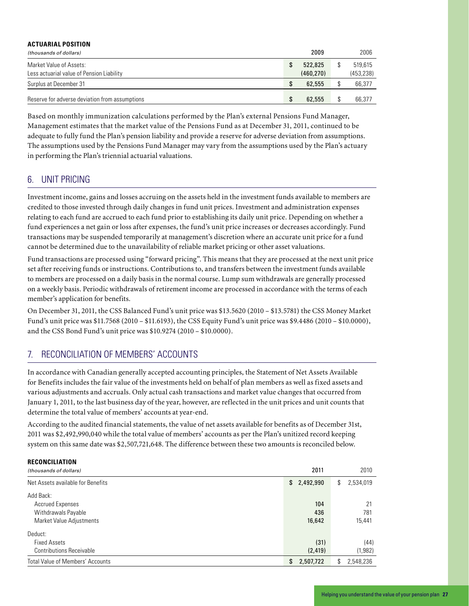#### **ACTUARIAL POSITION**

| (thousands of dollars)                                               | 2009                 | 2006                  |
|----------------------------------------------------------------------|----------------------|-----------------------|
| Market Value of Assets:<br>Less actuarial value of Pension Liability | 522,825<br>(460.270) | 519.615<br>(453, 238) |
| Surplus at December 31                                               | 62,555               | 66,377                |
| Reserve for adverse deviation from assumptions                       | 62,555               | 66.377                |

Based on monthly immunization calculations performed by the Plan's external Pensions Fund Manager, Management estimates that the market value of the Pensions Fund as at December 31, 2011, continued to be adequate to fully fund the Plan's pension liability and provide a reserve for adverse deviation from assumptions. The assumptions used by the Pensions Fund Manager may vary from the assumptions used by the Plan's actuary in performing the Plan's triennial actuarial valuations.

### 6. UNIT PRICING

**RECONCILIATION**

Investment income, gains and losses accruing on the assets held in the investment funds available to members are credited to those invested through daily changes in fund unit prices. Investment and administration expenses relating to each fund are accrued to each fund prior to establishing its daily unit price. Depending on whether a fund experiences a net gain or loss after expenses, the fund's unit price increases or decreases accordingly. Fund transactions may be suspended temporarily at management's discretion where an accurate unit price for a fund cannot be determined due to the unavailability of reliable market pricing or other asset valuations.

Fund transactions are processed using "forward pricing". This means that they are processed at the next unit price set after receiving funds or instructions. Contributions to, and transfers between the investment funds available to members are processed on a daily basis in the normal course. Lump sum withdrawals are generally processed on a weekly basis. Periodic withdrawals of retirement income are processed in accordance with the terms of each member's application for benefits.

On December 31, 2011, the CSS Balanced Fund's unit price was \$13.5620 (2010 – \$13.5781) the CSS Money Market Fund's unit price was \$11.7568 (2010 – \$11.6193), the CSS Equity Fund's unit price was \$9.4486 (2010 – \$10.0000), and the CSS Bond Fund's unit price was \$10.9274 (2010 – \$10.0000).

### 7. RECONCILIATION OF MEMBERS' ACCOUNTS

In accordance with Canadian generally accepted accounting principles, the Statement of Net Assets Available for Benefits includes the fair value of the investments held on behalf of plan members as well as fixed assets and various adjustments and accruals. Only actual cash transactions and market value changes that occurred from January 1, 2011, to the last business day of the year, however, are reflected in the unit prices and unit counts that determine the total value of members' accounts at year-end.

According to the audited financial statements, the value of net assets available for benefits as of December 31st, 2011 was \$2,492,990,040 while the total value of members' accounts as per the Plan's unitized record keeping system on this same date was \$2,507,721,648. The difference between these two amounts is reconciled below.

| KELUNLILIAIIUN                          |                 |                 |
|-----------------------------------------|-----------------|-----------------|
| (thousands of dollars)                  | 2011            | 2010            |
| Net Assets available for Benefits       | \$2,492,990     | 2,534,019<br>\$ |
| Add Back:                               |                 |                 |
| Accrued Expenses                        | 104             | 21              |
| Withdrawals Payable                     | 436             | 781             |
| Market Value Adjustments                | 16,642          | 15,441          |
| Deduct:                                 |                 |                 |
| <b>Fixed Assets</b>                     | (31)            | (44)            |
| <b>Contributions Receivable</b>         | (2, 419)        | (1,982)         |
| <b>Total Value of Members' Accounts</b> | 2,507,722<br>\$ | 2,548,236<br>\$ |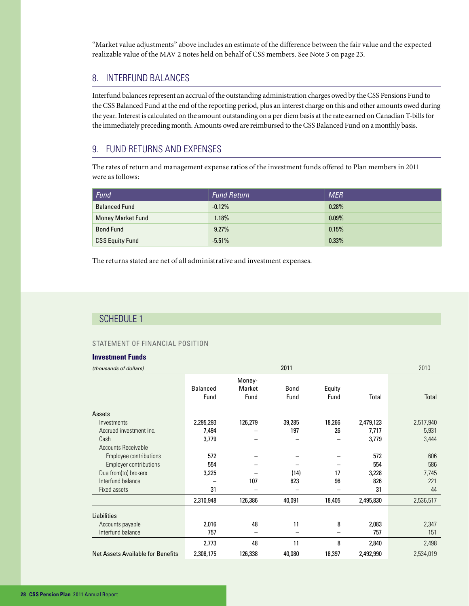"Market value adjustments" above includes an estimate of the difference between the fair value and the expected realizable value of the MAV 2 notes held on behalf of CSS members. See Note 3 on page 23.

### 8. INTERFUND BALANCES

Interfund balances represent an accrual of the outstanding administration charges owed by the CSS Pensions Fund to the CSS Balanced Fund at the end of the reporting period, plus an interest charge on this and other amounts owed during the year. Interest is calculated on the amount outstanding on a per diem basis at the rate earned on Canadian T-bills for the immediately preceding month. Amounts owed are reimbursed to the CSS Balanced Fund on a monthly basis.

### 9. FUND RETURNS AND EXPENSES

The rates of return and management expense ratios of the investment funds offered to Plan members in 2011 were as follows:

| Fund                     | <b>Fund Return</b> | <b>MER</b> |
|--------------------------|--------------------|------------|
| <b>Balanced Fund</b>     | $-0.12%$           | 0.28%      |
| <b>Money Market Fund</b> | 1.18%              | $0.09\%$   |
| <b>Bond Fund</b>         | 9.27%              | 0.15%      |
| <b>CSS Equity Fund</b>   | $-5.51%$           | 0.33%      |

The returns stated are net of all administrative and investment expenses.

### SCHEDULE 1

#### STATEMENT OF FINANCIAL POSITION

#### **Investment Funds**

| (thousands of dollars)                   |                 |         | 2011        |        |           | 2010      |
|------------------------------------------|-----------------|---------|-------------|--------|-----------|-----------|
|                                          |                 | Money-  |             |        |           |           |
|                                          | <b>Balanced</b> | Market  | <b>Bond</b> | Equity |           |           |
|                                          | Fund            | Fund    | Fund        | Fund   | Total     | Total     |
| Assets                                   |                 |         |             |        |           |           |
| Investments                              | 2,295,293       | 126,279 | 39,285      | 18,266 | 2,479,123 | 2,517,940 |
| Accrued investment inc.                  | 7,494           |         | 197         | 26     | 7,717     | 5,931     |
| Cash                                     | 3,779           |         |             |        | 3,779     | 3,444     |
| <b>Accounts Receivable</b>               |                 |         |             |        |           |           |
| Employee contributions                   | 572             |         |             |        | 572       | 606       |
| <b>Employer contributions</b>            | 554             |         |             |        | 554       | 586       |
| Due from(to) brokers                     | 3,225           |         | (14)        | 17     | 3,228     | 7,745     |
| Interfund balance                        |                 | 107     | 623         | 96     | 826       | 221       |
| Fixed assets                             | 31              |         |             |        | 31        | 44        |
|                                          | 2,310,948       | 126,386 | 40,091      | 18,405 | 2,495,830 | 2,536,517 |
| <b>Liabilities</b>                       |                 |         |             |        |           |           |
| Accounts payable                         | 2,016           | 48      | 11          | 8      | 2,083     | 2,347     |
| Interfund balance                        | 757             | -       | -           |        | 757       | 151       |
|                                          | 2,773           | 48      | 11          | 8      | 2,840     | 2,498     |
| <b>Net Assets Available for Benefits</b> | 2,308,175       | 126,338 | 40,080      | 18,397 | 2,492,990 | 2,534,019 |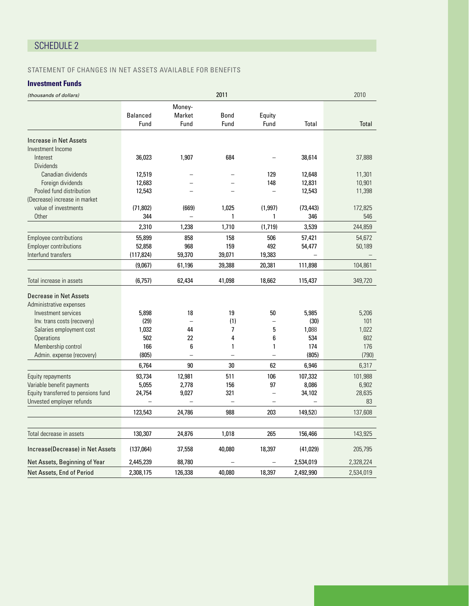### SCHEDULE 2

### STATEMENT OF CHANGES IN NET ASSETS AVAILABLE FOR BENEFITS

### **Investment Funds**

| (thousands of dollars)              | 2011            |          |              |                          |           | 2010      |
|-------------------------------------|-----------------|----------|--------------|--------------------------|-----------|-----------|
|                                     |                 | Money-   |              |                          |           |           |
|                                     | <b>Balanced</b> | Market   | <b>Bond</b>  | Equity                   |           |           |
|                                     | Fund            | Fund     | Fund         | Fund                     | Total     | Total     |
| Increase in Net Assets              |                 |          |              |                          |           |           |
| Investment Income                   |                 |          |              |                          |           |           |
| Interest                            | 36,023          | 1,907    | 684          |                          | 38,614    | 37,888    |
| <b>Dividends</b>                    |                 |          |              |                          |           |           |
| Canadian dividends                  | 12,519          |          |              | 129                      | 12,648    | 11,301    |
| Foreign dividends                   | 12,683          |          |              | 148                      | 12,831    | 10,901    |
| Pooled fund distribution            | 12,543          | $\equiv$ |              | $\equiv$                 | 12,543    | 11,398    |
| (Decrease) increase in market       |                 |          |              |                          |           |           |
| value of investments                | (71, 802)       | (669)    | 1,025        | (1,997)                  | (73, 443) | 172,825   |
| Other                               | 344             |          | 1            | 1                        | 346       | 546       |
|                                     | 2,310           | 1,238    | 1,710        | (1,719)                  | 3,539     | 244,859   |
| <b>Employee contributions</b>       | 55,899          | 858      | 158          | 506                      | 57,421    | 54,672    |
| <b>Employer contributions</b>       | 52,858          | 968      | 159          | 492                      | 54,477    | 50,189    |
| Interfund transfers                 | (117, 824)      | 59,370   | 39,071       | 19,383                   |           |           |
|                                     | (9,067)         | 61,196   | 39,388       | 20,381                   | 111,898   | 104,861   |
| Total increase in assets            | (6,757)         | 62,434   | 41,098       | 18,662                   | 115,437   | 349,720   |
| Decrease in Net Assets              |                 |          |              |                          |           |           |
| Administrative expenses             |                 |          |              |                          |           |           |
| Investment services                 | 5,898           | 18       | 19           | 50                       | 5,985     | 5,206     |
| Inv. trans costs (recovery)         | (29)            | $\equiv$ | (1)          |                          | (30)      | 101       |
| Salaries employment cost            | 1,032           | 44       | 7            | 5                        | 1,088     | 1,022     |
| <b>Operations</b>                   | 502             | 22       | 4            | 6                        | 534       | 602       |
| Membership control                  | 166             | 6        | $\mathbf{1}$ | 1                        | 174       | 176       |
| Admin. expense (recovery)           | (805)           |          |              |                          | (805)     | (790)     |
|                                     | 6,764           | 90       | 30           | 62                       | 6,946     | 6,317     |
| Equity repayments                   | 93,734          | 12,981   | 511          | 106                      | 107,332   | 101,988   |
| Variable benefit payments           | 5,055           | 2,778    | 156          | 97                       | 8,086     | 6,902     |
| Equity transferred to pensions fund | 24,754          | 9,027    | 321          | $\overline{\phantom{0}}$ | 34,102    | 28,635    |
| Unvested employer refunds           |                 |          |              |                          |           | 83        |
|                                     | 123,543         | 24,786   | 988          | 203                      | 149,520   | 137,608   |
|                                     |                 |          |              |                          |           |           |
| Total decrease in assets            | 130,307         | 24,876   | 1,018        | 265                      | 156,466   | 143,925   |
| Increase(Decrease) in Net Assets    | (137,064)       | 37,558   | 40,080       | 18,397                   | (41, 029) | 205,795   |
| Net Assets, Beginning of Year       | 2,445,239       | 88,780   |              |                          | 2,534,019 | 2,328,224 |
| Net Assets, End of Period           | 2,308,175       | 126,338  | 40.080       | 18,397                   | 2,492,990 | 2,534,019 |